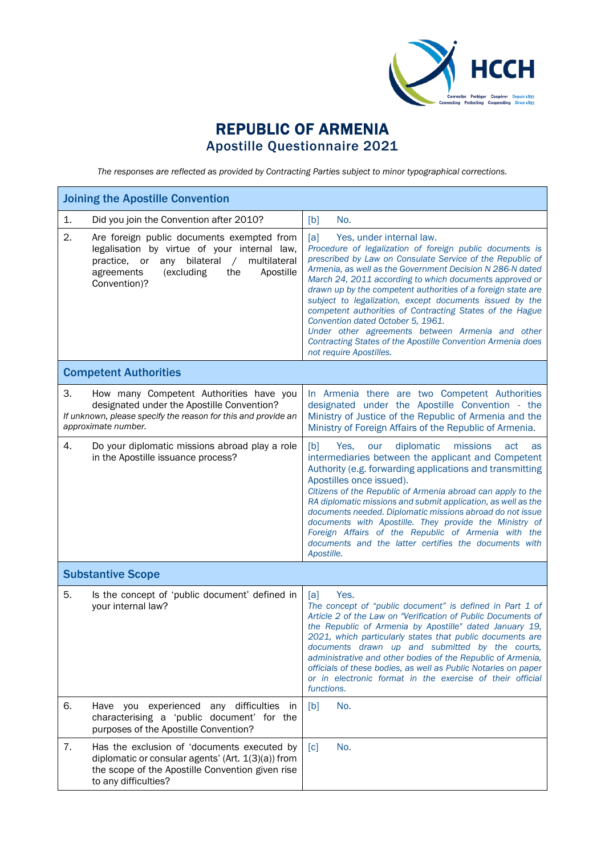

## REPUBLIC OF ARMENIA Apostille Questionnaire 2021

*The responses are reflected as provided by Contracting Parties subject to minor typographical corrections.*

| <b>Joining the Apostille Convention</b>                                                                                                                                                                                            |                                                                                                                                                                                                                                                                                                                                                                                                                                                                                                                                                                                                                                                            |
|------------------------------------------------------------------------------------------------------------------------------------------------------------------------------------------------------------------------------------|------------------------------------------------------------------------------------------------------------------------------------------------------------------------------------------------------------------------------------------------------------------------------------------------------------------------------------------------------------------------------------------------------------------------------------------------------------------------------------------------------------------------------------------------------------------------------------------------------------------------------------------------------------|
| Did you join the Convention after 2010?<br>1.                                                                                                                                                                                      | [b]<br>No.                                                                                                                                                                                                                                                                                                                                                                                                                                                                                                                                                                                                                                                 |
| 2.<br>Are foreign public documents exempted from<br>legalisation by virtue of your internal law,<br>bilateral<br>multilateral<br>practice, or<br>any<br>$\sqrt{2}$<br>agreements<br>(excluding<br>the<br>Apostille<br>Convention)? | [a]<br>Yes, under internal law.<br>Procedure of legalization of foreign public documents is<br>prescribed by Law on Consulate Service of the Republic of<br>Armenia, as well as the Government Decision N 286-N dated<br>March 24, 2011 according to which documents approved or<br>drawn up by the competent authorities of a foreign state are<br>subject to legalization, except documents issued by the<br>competent authorities of Contracting States of the Hague<br>Convention dated October 5, 1961.<br>Under other agreements between Armenia and other<br>Contracting States of the Apostille Convention Armenia does<br>not require Apostilles. |
| <b>Competent Authorities</b>                                                                                                                                                                                                       |                                                                                                                                                                                                                                                                                                                                                                                                                                                                                                                                                                                                                                                            |
| 3.<br>How many Competent Authorities have you<br>designated under the Apostille Convention?<br>If unknown, please specify the reason for this and provide an<br>approximate number.                                                | In Armenia there are two Competent Authorities<br>designated under the Apostille Convention - the<br>Ministry of Justice of the Republic of Armenia and the<br>Ministry of Foreign Affairs of the Republic of Armenia.                                                                                                                                                                                                                                                                                                                                                                                                                                     |
| 4.<br>Do your diplomatic missions abroad play a role<br>in the Apostille issuance process?                                                                                                                                         | [b]<br>Yes.<br>diplomatic<br>missions<br>act<br>our<br>as<br>intermediaries between the applicant and Competent<br>Authority (e.g. forwarding applications and transmitting<br>Apostilles once issued).<br>Citizens of the Republic of Armenia abroad can apply to the<br>RA diplomatic missions and submit application, as well as the<br>documents needed. Diplomatic missions abroad do not issue<br>documents with Apostille. They provide the Ministry of<br>Foreign Affairs of the Republic of Armenia with the<br>documents and the latter certifies the documents with<br>Apostille.                                                               |
| <b>Substantive Scope</b>                                                                                                                                                                                                           |                                                                                                                                                                                                                                                                                                                                                                                                                                                                                                                                                                                                                                                            |
| 5.<br>Is the concept of 'public document' defined in<br>your internal law?                                                                                                                                                         | Yes.<br>[a]<br>The concept of "public document" is defined in Part 1 of<br>Article 2 of the Law on "Verification of Public Documents of<br>the Republic of Armenia by Apostille" dated January 19,<br>2021, which particularly states that public documents are<br>documents drawn up and submitted by the courts,<br>administrative and other bodies of the Republic of Armenia,<br>officials of these bodies, as well as Public Notaries on paper<br>or in electronic format in the exercise of their official<br>functions.                                                                                                                             |
| 6.<br>Have you experienced any difficulties in<br>characterising a 'public document' for the<br>purposes of the Apostille Convention?                                                                                              | [b]<br>No.                                                                                                                                                                                                                                                                                                                                                                                                                                                                                                                                                                                                                                                 |
| 7.<br>Has the exclusion of 'documents executed by<br>diplomatic or consular agents' (Art. 1(3)(a)) from<br>the scope of the Apostille Convention given rise<br>to any difficulties?                                                | No.<br>$\lceil c \rceil$                                                                                                                                                                                                                                                                                                                                                                                                                                                                                                                                                                                                                                   |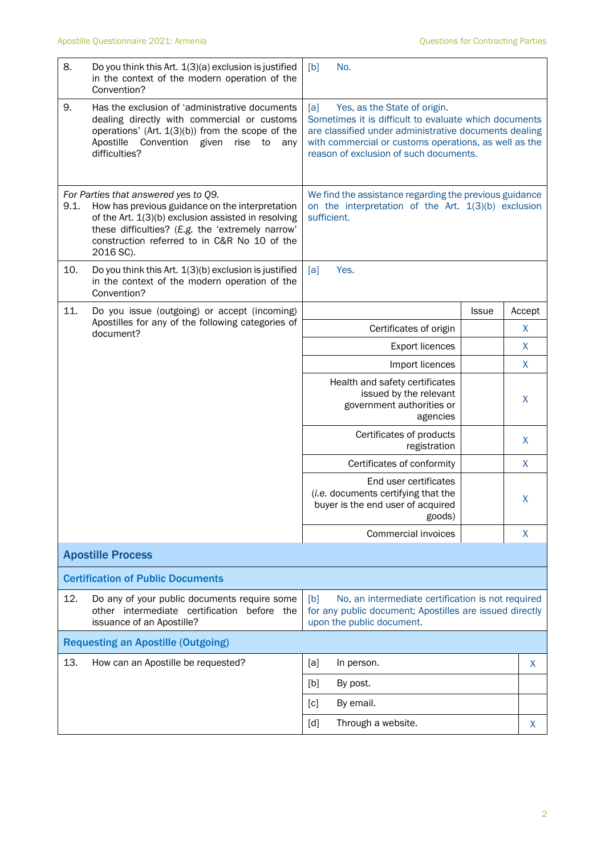| 8.                                        | Do you think this Art. 1(3)(a) exclusion is justified<br>in the context of the modern operation of the<br>Convention?                                                                                                                                                        | No.<br>[b]                                                                                                                                                                                                                                               |              |              |  |
|-------------------------------------------|------------------------------------------------------------------------------------------------------------------------------------------------------------------------------------------------------------------------------------------------------------------------------|----------------------------------------------------------------------------------------------------------------------------------------------------------------------------------------------------------------------------------------------------------|--------------|--------------|--|
| 9.                                        | Has the exclusion of 'administrative documents<br>dealing directly with commercial or customs<br>operations' (Art. 1(3)(b)) from the scope of the<br>Convention given<br>Apostille<br>rise<br>to<br>any<br>difficulties?                                                     | Yes, as the State of origin.<br>[a]<br>Sometimes it is difficult to evaluate which documents<br>are classified under administrative documents dealing<br>with commercial or customs operations, as well as the<br>reason of exclusion of such documents. |              |              |  |
| 9.1.                                      | For Parties that answered yes to Q9.<br>How has previous guidance on the interpretation<br>of the Art. 1(3)(b) exclusion assisted in resolving<br>these difficulties? (E.g. the 'extremely narrow'<br>construction referred to in C&R No 10 of the<br>2016 SC).              | We find the assistance regarding the previous guidance<br>on the interpretation of the Art. 1(3)(b) exclusion<br>sufficient.                                                                                                                             |              |              |  |
| 10.                                       | Do you think this Art. 1(3)(b) exclusion is justified<br>in the context of the modern operation of the<br>Convention?                                                                                                                                                        | Yes.<br>[a]                                                                                                                                                                                                                                              |              |              |  |
| 11.                                       | Do you issue (outgoing) or accept (incoming)                                                                                                                                                                                                                                 |                                                                                                                                                                                                                                                          | <b>Issue</b> | Accept       |  |
|                                           | Apostilles for any of the following categories of<br>document?                                                                                                                                                                                                               | Certificates of origin                                                                                                                                                                                                                                   |              | $\mathsf{X}$ |  |
|                                           |                                                                                                                                                                                                                                                                              | <b>Export licences</b>                                                                                                                                                                                                                                   |              | $\mathsf{X}$ |  |
|                                           |                                                                                                                                                                                                                                                                              | Import licences                                                                                                                                                                                                                                          |              | X            |  |
|                                           |                                                                                                                                                                                                                                                                              | Health and safety certificates<br>issued by the relevant<br>government authorities or<br>agencies                                                                                                                                                        |              | X            |  |
|                                           |                                                                                                                                                                                                                                                                              | Certificates of products<br>registration                                                                                                                                                                                                                 |              | X            |  |
|                                           |                                                                                                                                                                                                                                                                              | Certificates of conformity                                                                                                                                                                                                                               |              | X            |  |
|                                           |                                                                                                                                                                                                                                                                              | End user certificates<br>(i.e. documents certifying that the<br>buyer is the end user of acquired<br>goods)                                                                                                                                              |              | X            |  |
|                                           |                                                                                                                                                                                                                                                                              | Commercial invoices                                                                                                                                                                                                                                      |              | X            |  |
|                                           | <b>Apostille Process</b>                                                                                                                                                                                                                                                     |                                                                                                                                                                                                                                                          |              |              |  |
|                                           | <b>Certification of Public Documents</b>                                                                                                                                                                                                                                     |                                                                                                                                                                                                                                                          |              |              |  |
| 12.                                       | Do any of your public documents require some<br>No, an intermediate certification is not required<br>[b]<br>other intermediate certification before the<br>for any public document; Apostilles are issued directly<br>issuance of an Apostille?<br>upon the public document. |                                                                                                                                                                                                                                                          |              |              |  |
| <b>Requesting an Apostille (Outgoing)</b> |                                                                                                                                                                                                                                                                              |                                                                                                                                                                                                                                                          |              |              |  |
| 13.                                       | How can an Apostille be requested?                                                                                                                                                                                                                                           | [a]<br>In person.                                                                                                                                                                                                                                        |              | X            |  |
|                                           |                                                                                                                                                                                                                                                                              | [b]<br>By post.                                                                                                                                                                                                                                          |              |              |  |
|                                           |                                                                                                                                                                                                                                                                              | By email.<br>[c]                                                                                                                                                                                                                                         |              |              |  |
|                                           |                                                                                                                                                                                                                                                                              | Through a website.<br>$\lceil d \rceil$                                                                                                                                                                                                                  |              | X.           |  |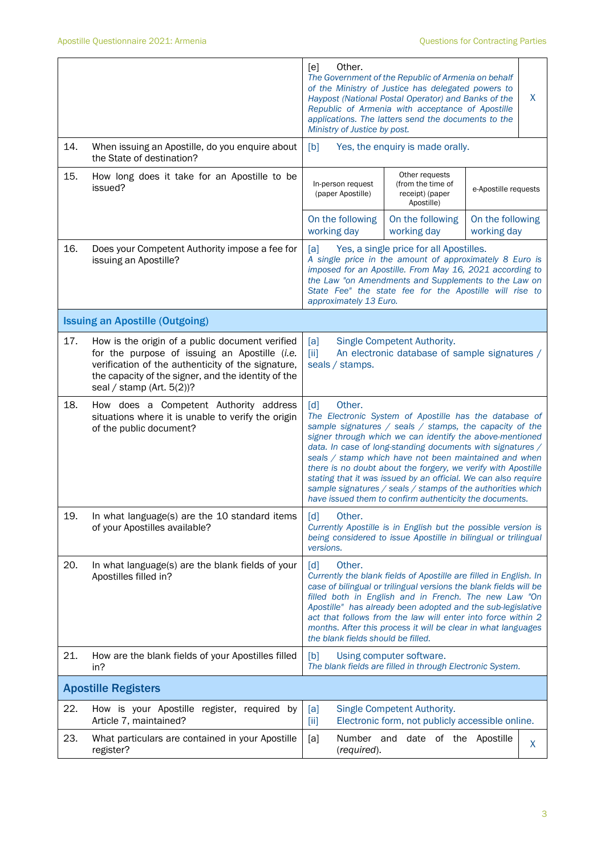|     |                                                                                                                                                                                                                                               | Other.<br>[e]<br>The Government of the Republic of Armenia on behalf<br>of the Ministry of Justice has delegated powers to<br>Haypost (National Postal Operator) and Banks of the<br>Republic of Armenia with acceptance of Apostille<br>applications. The latters send the documents to the<br>Ministry of Justice by post.                                                                                                                                                                                                                                                       |                                                                                       |  | X |
|-----|-----------------------------------------------------------------------------------------------------------------------------------------------------------------------------------------------------------------------------------------------|------------------------------------------------------------------------------------------------------------------------------------------------------------------------------------------------------------------------------------------------------------------------------------------------------------------------------------------------------------------------------------------------------------------------------------------------------------------------------------------------------------------------------------------------------------------------------------|---------------------------------------------------------------------------------------|--|---|
| 14. | When issuing an Apostille, do you enquire about<br>the State of destination?                                                                                                                                                                  | [b]<br>Yes, the enquiry is made orally.                                                                                                                                                                                                                                                                                                                                                                                                                                                                                                                                            |                                                                                       |  |   |
| 15. | How long does it take for an Apostille to be<br>issued?                                                                                                                                                                                       | Other requests<br>(from the time of<br>In-person request<br>e-Apostille requests<br>(paper Apostille)<br>receipt) (paper<br>Apostille)                                                                                                                                                                                                                                                                                                                                                                                                                                             |                                                                                       |  |   |
|     |                                                                                                                                                                                                                                               | On the following<br>On the following<br>On the following<br>working day<br>working day<br>working day                                                                                                                                                                                                                                                                                                                                                                                                                                                                              |                                                                                       |  |   |
| 16. | Does your Competent Authority impose a fee for<br>issuing an Apostille?                                                                                                                                                                       | Yes, a single price for all Apostilles.<br>[a]<br>A single price in the amount of approximately 8 Euro is<br>imposed for an Apostille. From May 16, 2021 according to<br>the Law "on Amendments and Supplements to the Law on<br>State Fee" the state fee for the Apostille will rise to<br>approximately 13 Euro.                                                                                                                                                                                                                                                                 |                                                                                       |  |   |
|     | <b>Issuing an Apostille (Outgoing)</b>                                                                                                                                                                                                        |                                                                                                                                                                                                                                                                                                                                                                                                                                                                                                                                                                                    |                                                                                       |  |   |
| 17. | How is the origin of a public document verified<br>for the purpose of issuing an Apostille (i.e.<br>verification of the authenticity of the signature,<br>the capacity of the signer, and the identity of the<br>seal / stamp (Art. $5(2)$ )? | Single Competent Authority.<br>[a]<br>An electronic database of sample signatures /<br>[iii]<br>seals / stamps.                                                                                                                                                                                                                                                                                                                                                                                                                                                                    |                                                                                       |  |   |
| 18. | How does a Competent Authority address<br>situations where it is unable to verify the origin<br>of the public document?                                                                                                                       | [d]<br>Other.<br>The Electronic System of Apostille has the database of<br>sample signatures / seals / stamps, the capacity of the<br>signer through which we can identify the above-mentioned<br>data. In case of long-standing documents with signatures /<br>seals / stamp which have not been maintained and when<br>there is no doubt about the forgery, we verify with Apostille<br>stating that it was issued by an official. We can also require<br>sample signatures / seals / stamps of the authorities which<br>have issued them to confirm authenticity the documents. |                                                                                       |  |   |
| 19. | In what language(s) are the 10 standard items<br>of your Apostilles available?                                                                                                                                                                | Other.<br>$\lceil d \rceil$<br>Currently Apostille is in English but the possible version is<br>being considered to issue Apostille in bilingual or trilingual<br>versions.                                                                                                                                                                                                                                                                                                                                                                                                        |                                                                                       |  |   |
| 20. | In what language(s) are the blank fields of your<br>Apostilles filled in?                                                                                                                                                                     | Other.<br>[d]<br>Currently the blank fields of Apostille are filled in English. In<br>case of bilingual or trilingual versions the blank fields will be<br>filled both in English and in French. The new Law "On<br>Apostille" has already been adopted and the sub-legislative<br>act that follows from the law will enter into force within 2<br>months. After this process it will be clear in what languages<br>the blank fields should be filled.                                                                                                                             |                                                                                       |  |   |
| 21. | How are the blank fields of your Apostilles filled<br>in?                                                                                                                                                                                     | [b]                                                                                                                                                                                                                                                                                                                                                                                                                                                                                                                                                                                | Using computer software.<br>The blank fields are filled in through Electronic System. |  |   |
|     | <b>Apostille Registers</b>                                                                                                                                                                                                                    |                                                                                                                                                                                                                                                                                                                                                                                                                                                                                                                                                                                    |                                                                                       |  |   |
| 22. | How is your Apostille register, required by<br>Article 7, maintained?                                                                                                                                                                         | [a]<br>[iii]                                                                                                                                                                                                                                                                                                                                                                                                                                                                                                                                                                       | Single Competent Authority.<br>Electronic form, not publicly accessible online.       |  |   |
| 23. | What particulars are contained in your Apostille<br>register?                                                                                                                                                                                 | [a]<br>(required).                                                                                                                                                                                                                                                                                                                                                                                                                                                                                                                                                                 | Number and date of the Apostille                                                      |  | X |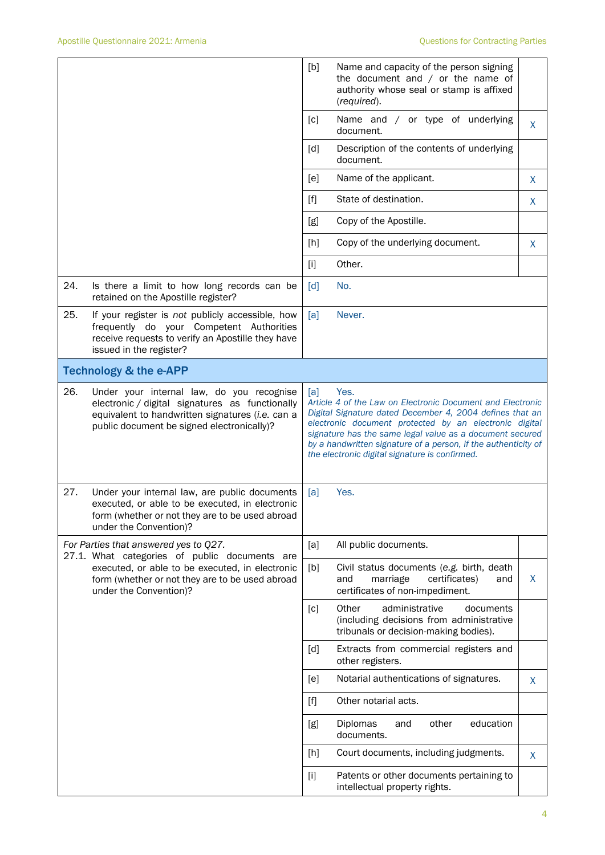|     |                                                                                                                                                                                                | [b]                                                                                                                                                                                                                                                                                                                                                                             | Name and capacity of the person signing<br>the document and $/$ or the name of<br>authority whose seal or stamp is affixed<br>(required). |   |
|-----|------------------------------------------------------------------------------------------------------------------------------------------------------------------------------------------------|---------------------------------------------------------------------------------------------------------------------------------------------------------------------------------------------------------------------------------------------------------------------------------------------------------------------------------------------------------------------------------|-------------------------------------------------------------------------------------------------------------------------------------------|---|
|     |                                                                                                                                                                                                | [c]                                                                                                                                                                                                                                                                                                                                                                             | Name and / or type of underlying<br>document.                                                                                             | X |
|     |                                                                                                                                                                                                | [d]                                                                                                                                                                                                                                                                                                                                                                             | Description of the contents of underlying<br>document.                                                                                    |   |
|     |                                                                                                                                                                                                | [e]                                                                                                                                                                                                                                                                                                                                                                             | Name of the applicant.                                                                                                                    | X |
|     |                                                                                                                                                                                                | $[f]$                                                                                                                                                                                                                                                                                                                                                                           | State of destination.                                                                                                                     | X |
|     |                                                                                                                                                                                                | [g]                                                                                                                                                                                                                                                                                                                                                                             | Copy of the Apostille.                                                                                                                    |   |
|     |                                                                                                                                                                                                | [h]                                                                                                                                                                                                                                                                                                                                                                             | Copy of the underlying document.                                                                                                          | X |
|     |                                                                                                                                                                                                | $[1]$                                                                                                                                                                                                                                                                                                                                                                           | Other.                                                                                                                                    |   |
| 24. | Is there a limit to how long records can be<br>retained on the Apostille register?                                                                                                             | [d]                                                                                                                                                                                                                                                                                                                                                                             | No.                                                                                                                                       |   |
| 25. | If your register is not publicly accessible, how<br>frequently do your Competent Authorities<br>receive requests to verify an Apostille they have<br>issued in the register?                   | [a]                                                                                                                                                                                                                                                                                                                                                                             | Never.                                                                                                                                    |   |
|     | <b>Technology &amp; the e-APP</b>                                                                                                                                                              |                                                                                                                                                                                                                                                                                                                                                                                 |                                                                                                                                           |   |
| 26. | Under your internal law, do you recognise<br>electronic / digital signatures as functionally<br>equivalent to handwritten signatures (i.e. can a<br>public document be signed electronically)? | Yes.<br>[a]<br>Article 4 of the Law on Electronic Document and Electronic<br>Digital Signature dated December 4, 2004 defines that an<br>electronic document protected by an electronic digital<br>signature has the same legal value as a document secured<br>by a handwritten signature of a person, if the authenticity of<br>the electronic digital signature is confirmed. |                                                                                                                                           |   |
| 27. | Under your internal law, are public documents<br>executed, or able to be executed, in electronic<br>form (whether or not they are to be used abroad<br>under the Convention)?                  | Yes.<br>[a]                                                                                                                                                                                                                                                                                                                                                                     |                                                                                                                                           |   |
|     | For Parties that answered yes to Q27.<br>27.1. What categories of public documents are                                                                                                         |                                                                                                                                                                                                                                                                                                                                                                                 | All public documents.                                                                                                                     |   |
|     | executed, or able to be executed, in electronic<br>form (whether or not they are to be used abroad<br>under the Convention)?                                                                   | [b]                                                                                                                                                                                                                                                                                                                                                                             | Civil status documents (e.g. birth, death<br>and<br>marriage<br>certificates)<br>and<br>certificates of non-impediment.                   | X |
|     |                                                                                                                                                                                                | [c]                                                                                                                                                                                                                                                                                                                                                                             | Other<br>administrative<br>documents<br>(including decisions from administrative<br>tribunals or decision-making bodies).                 |   |
|     |                                                                                                                                                                                                | [d]                                                                                                                                                                                                                                                                                                                                                                             | Extracts from commercial registers and<br>other registers.                                                                                |   |
|     |                                                                                                                                                                                                | [e]                                                                                                                                                                                                                                                                                                                                                                             | Notarial authentications of signatures.                                                                                                   | X |
|     |                                                                                                                                                                                                | $[f]$                                                                                                                                                                                                                                                                                                                                                                           | Other notarial acts.                                                                                                                      |   |
|     |                                                                                                                                                                                                | [g]                                                                                                                                                                                                                                                                                                                                                                             | other<br>education<br>Diplomas<br>and<br>documents.                                                                                       |   |
|     |                                                                                                                                                                                                | [h]                                                                                                                                                                                                                                                                                                                                                                             | Court documents, including judgments.                                                                                                     | X |
|     |                                                                                                                                                                                                | $[1]$                                                                                                                                                                                                                                                                                                                                                                           | Patents or other documents pertaining to<br>intellectual property rights.                                                                 |   |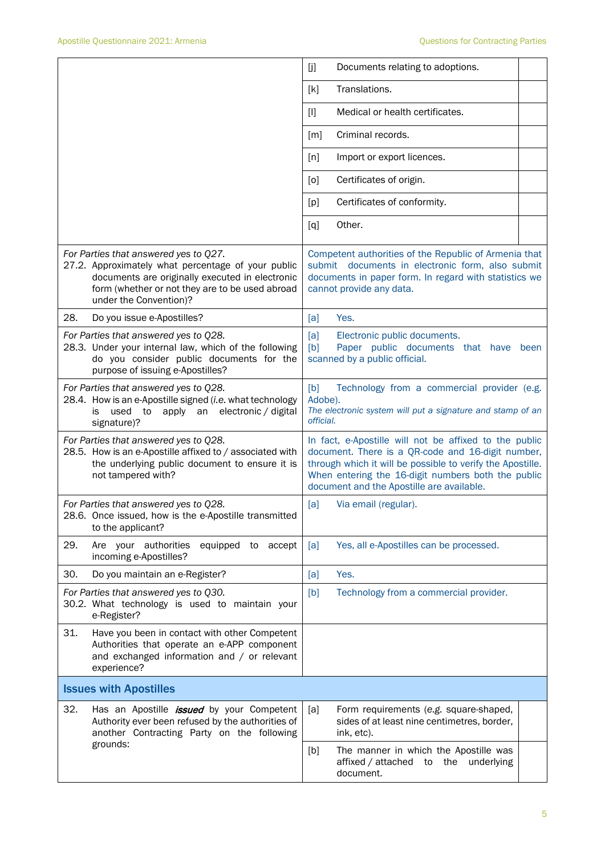|                                                                                                                                                                                                                             | [j]<br>Documents relating to adoptions.                                                                                                                                                                                                                                      |  |  |  |
|-----------------------------------------------------------------------------------------------------------------------------------------------------------------------------------------------------------------------------|------------------------------------------------------------------------------------------------------------------------------------------------------------------------------------------------------------------------------------------------------------------------------|--|--|--|
|                                                                                                                                                                                                                             | Translations.<br>[k]                                                                                                                                                                                                                                                         |  |  |  |
|                                                                                                                                                                                                                             | Medical or health certificates.<br>$[1]$                                                                                                                                                                                                                                     |  |  |  |
|                                                                                                                                                                                                                             | Criminal records.<br>[m]                                                                                                                                                                                                                                                     |  |  |  |
|                                                                                                                                                                                                                             | Import or export licences.<br>[n]                                                                                                                                                                                                                                            |  |  |  |
|                                                                                                                                                                                                                             | Certificates of origin.<br>[0]                                                                                                                                                                                                                                               |  |  |  |
|                                                                                                                                                                                                                             | Certificates of conformity.<br>[p]                                                                                                                                                                                                                                           |  |  |  |
|                                                                                                                                                                                                                             | Other.<br>[q]                                                                                                                                                                                                                                                                |  |  |  |
| For Parties that answered yes to Q27.<br>27.2. Approximately what percentage of your public<br>documents are originally executed in electronic<br>form (whether or not they are to be used abroad<br>under the Convention)? | Competent authorities of the Republic of Armenia that<br>submit documents in electronic form, also submit<br>documents in paper form. In regard with statistics we<br>cannot provide any data.                                                                               |  |  |  |
| 28.<br>Do you issue e-Apostilles?                                                                                                                                                                                           | [a]<br>Yes.                                                                                                                                                                                                                                                                  |  |  |  |
| For Parties that answered yes to Q28.<br>28.3. Under your internal law, which of the following<br>do you consider public documents for the<br>purpose of issuing e-Apostilles?                                              | [a]<br>Electronic public documents.<br>[b]<br>Paper public documents that have<br>been<br>scanned by a public official.                                                                                                                                                      |  |  |  |
| For Parties that answered yes to Q28.<br>28.4. How is an e-Apostille signed (i.e. what technology<br>apply an<br>electronic / digital<br>used<br>to<br>is<br>signature)?                                                    | [b]<br>Technology from a commercial provider (e.g.<br>Adobe).<br>The electronic system will put a signature and stamp of an<br>official.                                                                                                                                     |  |  |  |
| For Parties that answered yes to Q28.<br>28.5. How is an e-Apostille affixed to / associated with<br>the underlying public document to ensure it is<br>not tampered with?                                                   | In fact, e-Apostille will not be affixed to the public<br>document. There is a QR-code and 16-digit number,<br>through which it will be possible to verify the Apostille.<br>When entering the 16-digit numbers both the public<br>document and the Apostille are available. |  |  |  |
| For Parties that answered yes to Q28.<br>28.6. Once issued, how is the e-Apostille transmitted<br>to the applicant?                                                                                                         | Via email (regular).<br>[a]                                                                                                                                                                                                                                                  |  |  |  |
| 29.<br>Are your authorities<br>equipped to accept<br>incoming e-Apostilles?                                                                                                                                                 | Yes, all e-Apostilles can be processed.<br>[a]                                                                                                                                                                                                                               |  |  |  |
| 30.<br>Do you maintain an e-Register?                                                                                                                                                                                       | Yes.<br>[a]                                                                                                                                                                                                                                                                  |  |  |  |
| For Parties that answered yes to Q30.<br>30.2. What technology is used to maintain your<br>e-Register?                                                                                                                      | Technology from a commercial provider.<br>[b]                                                                                                                                                                                                                                |  |  |  |
| 31.<br>Have you been in contact with other Competent<br>Authorities that operate an e-APP component<br>and exchanged information and / or relevant<br>experience?                                                           |                                                                                                                                                                                                                                                                              |  |  |  |
| <b>Issues with Apostilles</b>                                                                                                                                                                                               |                                                                                                                                                                                                                                                                              |  |  |  |
| 32.<br>Has an Apostille <i>issued</i> by your Competent<br>Authority ever been refused by the authorities of<br>another Contracting Party on the following                                                                  | [a]<br>Form requirements (e.g. square-shaped,<br>sides of at least nine centimetres, border,<br>ink, etc).                                                                                                                                                                   |  |  |  |
| grounds:                                                                                                                                                                                                                    | The manner in which the Apostille was<br>[b]<br>affixed / attached<br>the<br>underlying<br>to<br>document.                                                                                                                                                                   |  |  |  |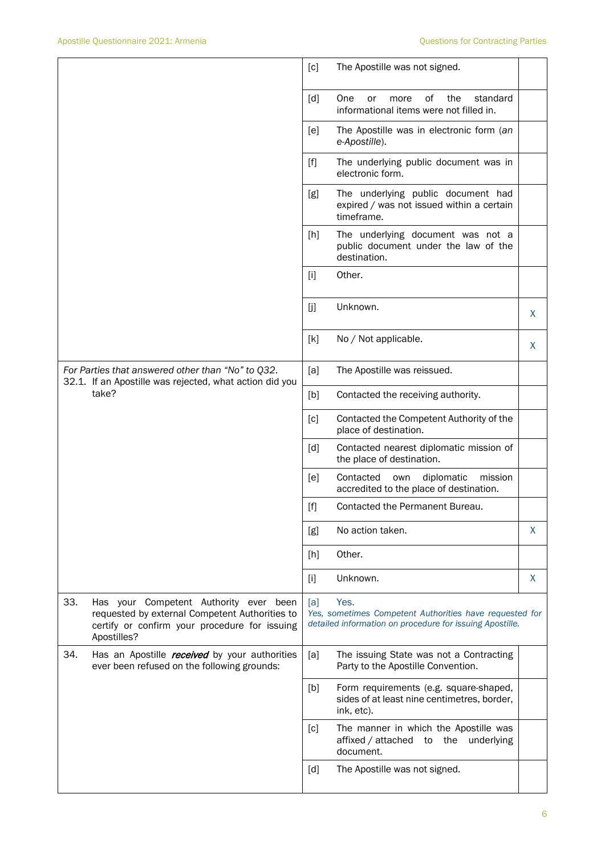|                                                                                                                       |                                                                                                                                                          | [c]   | The Apostille was not signed.                                                                                               |    |
|-----------------------------------------------------------------------------------------------------------------------|----------------------------------------------------------------------------------------------------------------------------------------------------------|-------|-----------------------------------------------------------------------------------------------------------------------------|----|
|                                                                                                                       |                                                                                                                                                          | [d]   | One<br>0f<br>the<br>standard<br>or<br>more<br>informational items were not filled in.                                       |    |
|                                                                                                                       |                                                                                                                                                          | [e]   | The Apostille was in electronic form (an<br>e-Apostille).                                                                   |    |
|                                                                                                                       |                                                                                                                                                          | $[f]$ | The underlying public document was in<br>electronic form.                                                                   |    |
|                                                                                                                       |                                                                                                                                                          | [g]   | The underlying public document had<br>expired / was not issued within a certain<br>timeframe.                               |    |
|                                                                                                                       |                                                                                                                                                          | $[h]$ | The underlying document was not a<br>public document under the law of the<br>destination.                                   |    |
|                                                                                                                       |                                                                                                                                                          | $[1]$ | Other.                                                                                                                      |    |
|                                                                                                                       |                                                                                                                                                          | [j]   | Unknown.                                                                                                                    | X. |
|                                                                                                                       |                                                                                                                                                          | [k]   | No / Not applicable.                                                                                                        | X  |
| For Parties that answered other than "No" to Q32.<br>32.1. If an Apostille was rejected, what action did you<br>take? |                                                                                                                                                          | [a]   | The Apostille was reissued.                                                                                                 |    |
|                                                                                                                       |                                                                                                                                                          | [b]   | Contacted the receiving authority.                                                                                          |    |
|                                                                                                                       |                                                                                                                                                          | [c]   | Contacted the Competent Authority of the<br>place of destination.                                                           |    |
|                                                                                                                       |                                                                                                                                                          | [d]   | Contacted nearest diplomatic mission of<br>the place of destination.                                                        |    |
|                                                                                                                       |                                                                                                                                                          | [e]   | Contacted<br>diplomatic<br>mission<br>own<br>accredited to the place of destination.                                        |    |
|                                                                                                                       |                                                                                                                                                          | [f]   | Contacted the Permanent Bureau.                                                                                             |    |
|                                                                                                                       |                                                                                                                                                          | [g]   | No action taken.                                                                                                            | X  |
|                                                                                                                       |                                                                                                                                                          | [h]   | Other.                                                                                                                      |    |
|                                                                                                                       |                                                                                                                                                          | $[1]$ | Unknown.                                                                                                                    | X  |
| 33.                                                                                                                   | Has your Competent Authority ever been<br>requested by external Competent Authorities to<br>certify or confirm your procedure for issuing<br>Apostilles? | [a]   | Yes.<br>Yes, sometimes Competent Authorities have requested for<br>detailed information on procedure for issuing Apostille. |    |
| 34.                                                                                                                   | Has an Apostille received by your authorities<br>ever been refused on the following grounds:                                                             | [a]   | The issuing State was not a Contracting<br>Party to the Apostille Convention.                                               |    |
|                                                                                                                       |                                                                                                                                                          | [b]   | Form requirements (e.g. square-shaped,<br>sides of at least nine centimetres, border,<br>ink, etc).                         |    |
|                                                                                                                       |                                                                                                                                                          | [c]   | The manner in which the Apostille was<br>affixed / attached to the underlying<br>document.                                  |    |
|                                                                                                                       |                                                                                                                                                          | [d]   | The Apostille was not signed.                                                                                               |    |